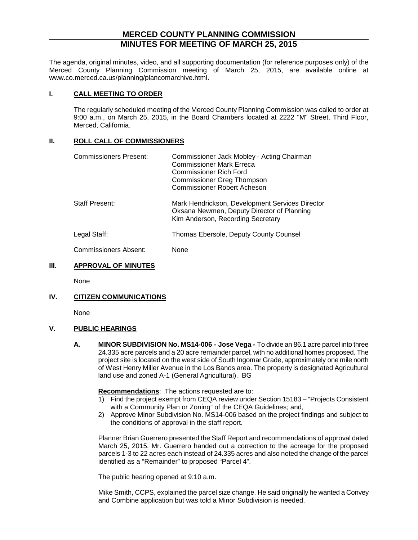# **MERCED COUNTY PLANNING COMMISSION MINUTES FOR MEETING OF MARCH 25, 2015**

The agenda, original minutes, video, and all supporting documentation (for reference purposes only) of the Merced County Planning Commission meeting of March 25, 2015, are available online at www.co.merced.ca.us/planning/plancomarchive.html.

#### **I. CALL MEETING TO ORDER**

The regularly scheduled meeting of the Merced County Planning Commission was called to order at 9:00 a.m., on March 25, 2015, in the Board Chambers located at 2222 "M" Street, Third Floor, Merced, California.

## **II. ROLL CALL OF COMMISSIONERS**

| Commissioners Present: | Commissioner Jack Mobley - Acting Chairman<br><b>Commissioner Mark Erreca</b><br><b>Commissioner Rich Ford</b><br><b>Commissioner Greg Thompson</b><br><b>Commissioner Robert Acheson</b> |
|------------------------|-------------------------------------------------------------------------------------------------------------------------------------------------------------------------------------------|
| Staff Present:         | Mark Hendrickson, Development Services Director<br>Oksana Newmen, Deputy Director of Planning<br>Kim Anderson, Recording Secretary                                                        |
| Legal Staff:           | Thomas Ebersole, Deputy County Counsel                                                                                                                                                    |
| Commissioners Absent:  | None                                                                                                                                                                                      |

## **III. APPROVAL OF MINUTES**

None

## **IV. CITIZEN COMMUNICATIONS**

None

## **V. PUBLIC HEARINGS**

**A. MINOR SUBDIVISION No. MS14-006 - Jose Vega -** To divide an 86.1 acre parcel into three 24.335 acre parcels and a 20 acre remainder parcel, with no additional homes proposed. The project site is located on the west side of South Ingomar Grade, approximately one mile north of West Henry Miller Avenue in the Los Banos area. The property is designated Agricultural land use and zoned A-1 (General Agricultural). BG

**Recommendations**: The actions requested are to:

- 1) Find the project exempt from CEQA review under Section 15183 "Projects Consistent with a Community Plan or Zoning" of the CEQA Guidelines; and,
- 2) Approve Minor Subdivision No. MS14-006 based on the project findings and subject to the conditions of approval in the staff report.

Planner Brian Guerrero presented the Staff Report and recommendations of approval dated March 25, 2015. Mr. Guerrero handed out a correction to the acreage for the proposed parcels 1-3 to 22 acres each instead of 24.335 acres and also noted the change of the parcel identified as a "Remainder" to proposed "Parcel 4".

The public hearing opened at 9:10 a.m.

Mike Smith, CCPS, explained the parcel size change. He said originally he wanted a Convey and Combine application but was told a Minor Subdivision is needed.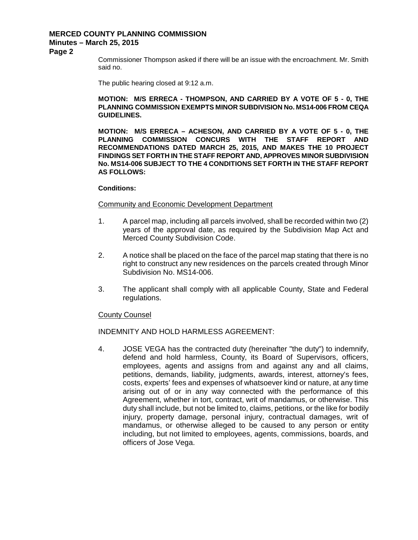# **MERCED COUNTY PLANNING COMMISSION Minutes – March 25, 2015**

#### **Page 2**

Commissioner Thompson asked if there will be an issue with the encroachment. Mr. Smith said no.

The public hearing closed at 9:12 a.m.

#### **MOTION: M/S ERRECA - THOMPSON, AND CARRIED BY A VOTE OF 5 - 0, THE PLANNING COMMISSION EXEMPTS MINOR SUBDIVISION No. MS14-006 FROM CEQA GUIDELINES.**

**MOTION: M/S ERRECA – ACHESON, AND CARRIED BY A VOTE OF 5 - 0, THE PLANNING COMMISSION CONCURS WITH THE STAFF REPORT AND RECOMMENDATIONS DATED MARCH 25, 2015, AND MAKES THE 10 PROJECT FINDINGS SET FORTH IN THE STAFF REPORT AND, APPROVES MINOR SUBDIVISION No. MS14-006 SUBJECT TO THE 4 CONDITIONS SET FORTH IN THE STAFF REPORT AS FOLLOWS:**

#### **Conditions:**

#### Community and Economic Development Department

- 1. A parcel map, including all parcels involved, shall be recorded within two (2) years of the approval date, as required by the Subdivision Map Act and Merced County Subdivision Code.
- 2. A notice shall be placed on the face of the parcel map stating that there is no right to construct any new residences on the parcels created through Minor Subdivision No. MS14-006.
- 3. The applicant shall comply with all applicable County, State and Federal regulations.

#### County Counsel

INDEMNITY AND HOLD HARMLESS AGREEMENT:

4. JOSE VEGA has the contracted duty (hereinafter "the duty") to indemnify, defend and hold harmless, County, its Board of Supervisors, officers, employees, agents and assigns from and against any and all claims, petitions, demands, liability, judgments, awards, interest, attorney's fees, costs, experts' fees and expenses of whatsoever kind or nature, at any time arising out of or in any way connected with the performance of this Agreement, whether in tort, contract, writ of mandamus, or otherwise. This duty shall include, but not be limited to, claims, petitions, or the like for bodily injury, property damage, personal injury, contractual damages, writ of mandamus, or otherwise alleged to be caused to any person or entity including, but not limited to employees, agents, commissions, boards, and officers of Jose Vega.